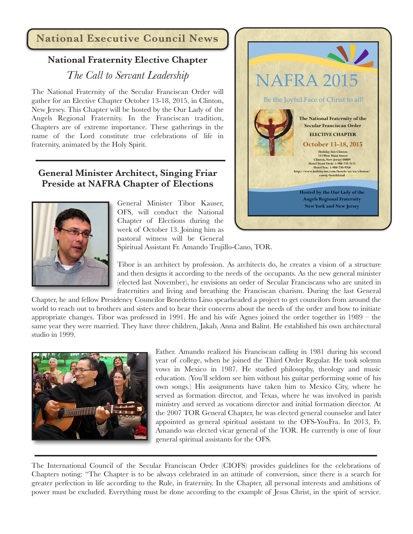### **National Executive Council News**

# **National Fraternity Elective Chapter**

## *The Call to Servant Leadership*

The National Fraternity of the Secular Franciscan Order will gather for an Elective Chapter October 13-18, 2015, in Clinton, New Jersey. This Chapter will be hosted by the Our Lady of the Angels Regional Fraternity. In the Franciscan tradition, Chapters are of extreme importance. These gatherings in the name of the Lord constitute true celebrations of life in fraternity, animated by the Holy Spirit.

#### **General Minister Architect, Singing Friar Preside at NAFRA Chapter of Elections**



General Minister Tibor Kauser, OFS, will conduct the National Chapter of Elections during the week of October 13. Joining him as pastoral witness will be General



Spiritual Assistant Fr. Amando Trujillo-Cano, TOR.

Tibor is an architect by profession. As architects do, he creates a vision of a structure and then designs it according to the needs of the occupants. As the new general minister (elected last November), he envisions an order of Secular Franciscans who are united in fraternities and living and breathing the Franciscan charism. During the last General

Chapter, he and fellow Presidency Councilor Benedetto Lino spearheaded a project to get councilors from around the world to reach out to brothers and sisters and to hear their concerns about the needs of the order and how to initiate appropriate changes. Tibor was professed in 1991. He and his wife Agnes joined the order together in 1989 – the same year they were married. They have three children, Jakab, Anna and Balint. He established his own architectural studio in 1999.



Father. Amando realized his Franciscan calling in 1981 during his second year of college, when he joined the Third Order Regular. He took solemn vows in Mexico in 1987. He studied philosophy, theology and music education. (You'll seldom see him without his guitar performing some of his own songs.) His assignments have taken him to Mexico City, where he served as formation director, and Texas, where he was involved in parish ministry and served as vocations director and initial formation director. At the 2007 TOR General Chapter, he was elected general counselor and later appointed as general spiritual assistant to the OFS-YouFra. In 2013, Fr. Amando was elected vicar general of the TOR. He currently is one of four general spiritual assistants for the OFS.

The International Council of the Secular Franciscan Order (CIOFS) provides guidelines for the celebrations of Chapters noting: "The Chapter is to be always celebrated in an attitude of conversion, since there is a search for greater perfection in life according to the Rule, in fraternity. In the Chapter, all personal interests and ambitions of power must be excluded. Everything must be done according to the example of Jesus Christ, in the spirit of service.